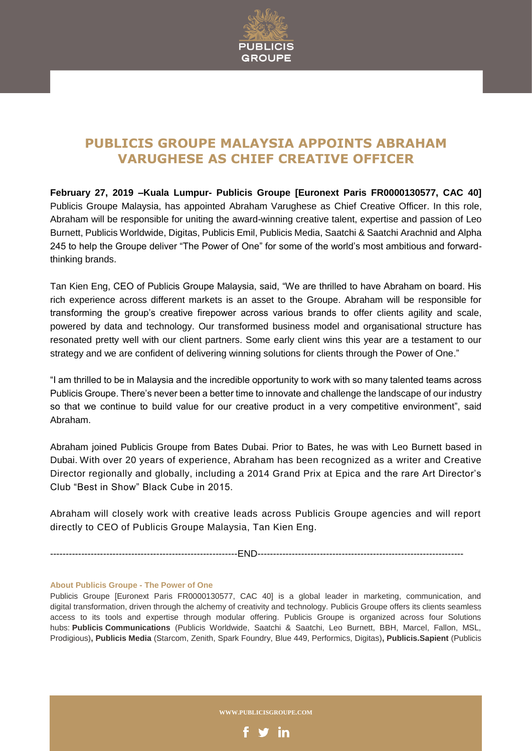

## **PUBLICIS GROUPE MALAYSIA APPOINTS ABRAHAM VARUGHESE AS CHIEF CREATIVE OFFICER**

**February 27, 2019 –Kuala Lumpur- Publicis Groupe [Euronext Paris FR0000130577, CAC 40]** Publicis Groupe Malaysia, has appointed Abraham Varughese as Chief Creative Officer. In this role, Abraham will be responsible for uniting the award-winning creative talent, expertise and passion of Leo Burnett, Publicis Worldwide, Digitas, Publicis Emil, Publicis Media, Saatchi & Saatchi Arachnid and Alpha 245 to help the Groupe deliver "The Power of One" for some of the world's most ambitious and forwardthinking brands.

Tan Kien Eng, CEO of Publicis Groupe Malaysia, said, "We are thrilled to have Abraham on board. His rich experience across different markets is an asset to the Groupe. Abraham will be responsible for transforming the group's creative firepower across various brands to offer clients agility and scale, powered by data and technology. Our transformed business model and organisational structure has resonated pretty well with our client partners. Some early client wins this year are a testament to our strategy and we are confident of delivering winning solutions for clients through the Power of One."

"I am thrilled to be in Malaysia and the incredible opportunity to work with so many talented teams across Publicis Groupe. There's never been a better time to innovate and challenge the landscape of our industry so that we continue to build value for our creative product in a very competitive environment", said Abraham.

Abraham joined Publicis Groupe from Bates Dubai. Prior to Bates, he was with Leo Burnett based in Dubai. With over 20 years of experience, Abraham has been recognized as a writer and Creative Director regionally and globally, including a 2014 Grand Prix at Epica and the rare Art Director's Club "Best in Show" Black Cube in 2015.

Abraham will closely work with creative leads across Publicis Groupe agencies and will report directly to CEO of Publicis Groupe Malaysia, Tan Kien Eng.

------------------------------------------------------------END------------------------------------------------------------------

## **About Publicis Groupe - The Power of One**

Publicis Groupe [Euronext Paris FR0000130577, CAC 40] is a global leader in marketing, communication, and digital transformation, driven through the alchemy of creativity and technology. Publicis Groupe offers its clients seamless access to its tools and expertise through modular offering. Publicis Groupe is organized across four Solutions hubs: **Publicis Communications** (Publicis Worldwide, Saatchi & Saatchi, Leo Burnett, BBH, Marcel, Fallon, MSL, Prodigious)**, Publicis Media** (Starcom, Zenith, Spark Foundry, Blue 449, Performics, Digitas)**, Publicis.Sapient** (Publicis

**WWW.PUBLICISGROUPE.COM**